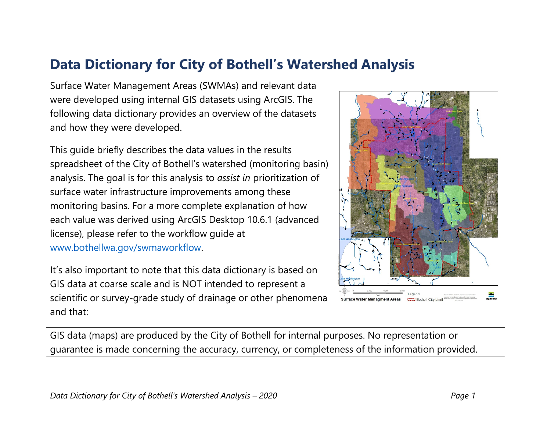## **Data Dictionary for City of Bothell's Watershed Analysis**

Surface Water Management Areas (SWMAs) and relevant data were developed using internal GIS datasets using ArcGIS. The following data dictionary provides an overview of the datasets and how they were developed.

This guide briefly describes the data values in the results spreadsheet of the City of Bothell's watershed (monitoring basin) analysis. The goal is for this analysis to *assist in* prioritization of surface water infrastructure improvements among these monitoring basins. For a more complete explanation of how each value was derived using ArcGIS Desktop 10.6.1 (advanced license), please refer to the workflow guide at [www.bothellwa.gov/swmaworkflow.](http://www.bothellwa.gov/swmaworkflow)

It's also important to note that this data dictionary is based on GIS data at coarse scale and is NOT intended to represent a scientific or survey-grade study of drainage or other phenomena and that:



GIS data (maps) are produced by the City of Bothell for internal purposes. No representation or guarantee is made concerning the accuracy, currency, or completeness of the information provided.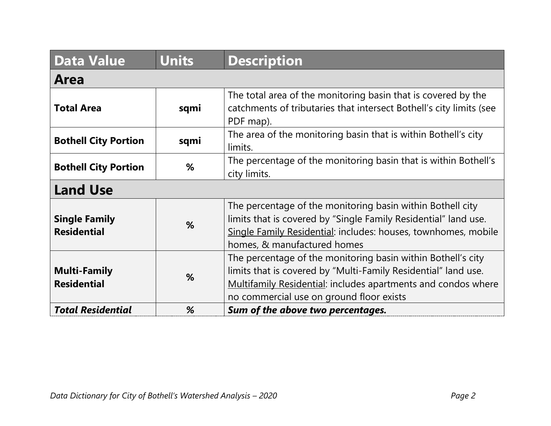| <b>Data Value</b>                          | <b>Units</b> | <b>Description</b>                                                                                                                                                                                                                                 |
|--------------------------------------------|--------------|----------------------------------------------------------------------------------------------------------------------------------------------------------------------------------------------------------------------------------------------------|
| <b>Area</b>                                |              |                                                                                                                                                                                                                                                    |
| <b>Total Area</b>                          | sqmi         | The total area of the monitoring basin that is covered by the<br>catchments of tributaries that intersect Bothell's city limits (see<br>PDF map).                                                                                                  |
| <b>Bothell City Portion</b>                | sqmi         | The area of the monitoring basin that is within Bothell's city<br>limits.                                                                                                                                                                          |
| <b>Bothell City Portion</b>                | %            | The percentage of the monitoring basin that is within Bothell's<br>city limits.                                                                                                                                                                    |
| <b>Land Use</b>                            |              |                                                                                                                                                                                                                                                    |
| <b>Single Family</b><br><b>Residential</b> | %            | The percentage of the monitoring basin within Bothell city<br>limits that is covered by "Single Family Residential" land use.<br>Single Family Residential: includes: houses, townhomes, mobile<br>homes, & manufactured homes                     |
| <b>Multi-Family</b><br><b>Residential</b>  | %            | The percentage of the monitoring basin within Bothell's city<br>limits that is covered by "Multi-Family Residential" land use.<br><b>Multifamily Residential: includes apartments and condos where</b><br>no commercial use on ground floor exists |
| <b>Total Residential</b>                   | %            | Sum of the above two percentages.                                                                                                                                                                                                                  |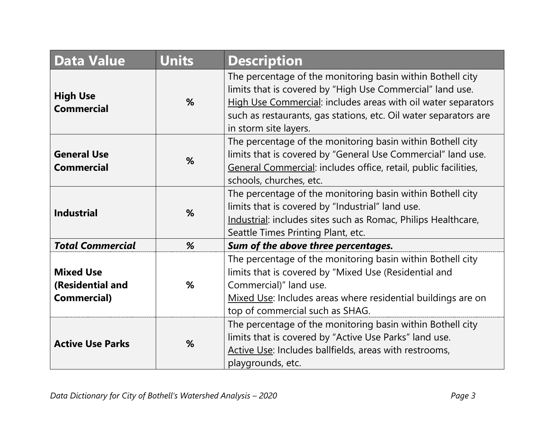| <b>Data Value</b>                                          | <b>Units</b> | <b>Description</b>                                                                                                                                                                                                                                                                    |
|------------------------------------------------------------|--------------|---------------------------------------------------------------------------------------------------------------------------------------------------------------------------------------------------------------------------------------------------------------------------------------|
| <b>High Use</b><br><b>Commercial</b>                       | %            | The percentage of the monitoring basin within Bothell city<br>limits that is covered by "High Use Commercial" land use.<br>High Use Commercial: includes areas with oil water separators<br>such as restaurants, gas stations, etc. Oil water separators are<br>in storm site layers. |
| <b>General Use</b><br><b>Commercial</b>                    | %            | The percentage of the monitoring basin within Bothell city<br>limits that is covered by "General Use Commercial" land use.<br>General Commercial: includes office, retail, public facilities,<br>schools, churches, etc.                                                              |
| <b>Industrial</b>                                          | %            | The percentage of the monitoring basin within Bothell city<br>limits that is covered by "Industrial" land use.<br>Industrial: includes sites such as Romac, Philips Healthcare,<br>Seattle Times Printing Plant, etc.                                                                 |
| <b>Total Commercial</b>                                    | %            | Sum of the above three percentages.                                                                                                                                                                                                                                                   |
| <b>Mixed Use</b><br>(Residential and<br><b>Commercial)</b> | %            | The percentage of the monitoring basin within Bothell city<br>limits that is covered by "Mixed Use (Residential and<br>Commercial)" land use.<br>Mixed Use: Includes areas where residential buildings are on<br>top of commercial such as SHAG.                                      |
| <b>Active Use Parks</b>                                    | %            | The percentage of the monitoring basin within Bothell city<br>limits that is covered by "Active Use Parks" land use.<br>Active Use: Includes ballfields, areas with restrooms,<br>playgrounds, etc.                                                                                   |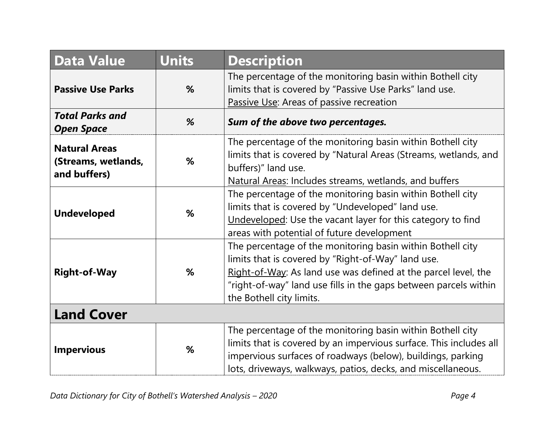| <b>Data Value</b>                                           | <b>Units</b> | <b>Description</b>                                                                                                                                                                                                                                                                 |
|-------------------------------------------------------------|--------------|------------------------------------------------------------------------------------------------------------------------------------------------------------------------------------------------------------------------------------------------------------------------------------|
| <b>Passive Use Parks</b>                                    | %            | The percentage of the monitoring basin within Bothell city<br>limits that is covered by "Passive Use Parks" land use.<br>Passive Use: Areas of passive recreation                                                                                                                  |
| <b>Total Parks and</b><br><b>Open Space</b>                 | %            | Sum of the above two percentages.                                                                                                                                                                                                                                                  |
| <b>Natural Areas</b><br>(Streams, wetlands,<br>and buffers) | %            | The percentage of the monitoring basin within Bothell city<br>limits that is covered by "Natural Areas (Streams, wetlands, and<br>buffers)" land use.<br>Natural Areas: Includes streams, wetlands, and buffers                                                                    |
| <b>Undeveloped</b>                                          | %            | The percentage of the monitoring basin within Bothell city<br>limits that is covered by "Undeveloped" land use.<br>Undeveloped: Use the vacant layer for this category to find<br>areas with potential of future development                                                       |
| <b>Right-of-Way</b>                                         | %            | The percentage of the monitoring basin within Bothell city<br>limits that is covered by "Right-of-Way" land use.<br>Right-of-Way: As land use was defined at the parcel level, the<br>"right-of-way" land use fills in the gaps between parcels within<br>the Bothell city limits. |
| <b>Land Cover</b>                                           |              |                                                                                                                                                                                                                                                                                    |
| <b>Impervious</b>                                           | %            | The percentage of the monitoring basin within Bothell city<br>limits that is covered by an impervious surface. This includes all<br>impervious surfaces of roadways (below), buildings, parking<br>lots, driveways, walkways, patios, decks, and miscellaneous.                    |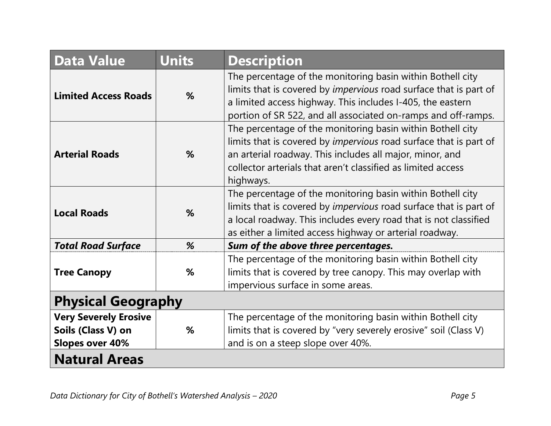| <b>Data Value</b>                                                            | <b>Units</b> | <b>Description</b>                                                                                                                                                                                                                                                              |
|------------------------------------------------------------------------------|--------------|---------------------------------------------------------------------------------------------------------------------------------------------------------------------------------------------------------------------------------------------------------------------------------|
| <b>Limited Access Roads</b>                                                  | %            | The percentage of the monitoring basin within Bothell city<br>limits that is covered by impervious road surface that is part of<br>a limited access highway. This includes I-405, the eastern<br>portion of SR 522, and all associated on-ramps and off-ramps.                  |
| <b>Arterial Roads</b>                                                        | %            | The percentage of the monitoring basin within Bothell city<br>limits that is covered by <i>impervious</i> road surface that is part of<br>an arterial roadway. This includes all major, minor, and<br>collector arterials that aren't classified as limited access<br>highways. |
| <b>Local Roads</b>                                                           | %            | The percentage of the monitoring basin within Bothell city<br>limits that is covered by <i>impervious</i> road surface that is part of<br>a local roadway. This includes every road that is not classified<br>as either a limited access highway or arterial roadway.           |
| <b>Total Road Surface</b>                                                    | %            | Sum of the above three percentages.                                                                                                                                                                                                                                             |
| <b>Tree Canopy</b>                                                           | %            | The percentage of the monitoring basin within Bothell city<br>limits that is covered by tree canopy. This may overlap with<br>impervious surface in some areas.                                                                                                                 |
| <b>Physical Geography</b>                                                    |              |                                                                                                                                                                                                                                                                                 |
| <b>Very Severely Erosive</b><br>Soils (Class V) on<br><b>Slopes over 40%</b> | %            | The percentage of the monitoring basin within Bothell city<br>limits that is covered by "very severely erosive" soil (Class V)<br>and is on a steep slope over 40%.                                                                                                             |
| <b>Natural Areas</b>                                                         |              |                                                                                                                                                                                                                                                                                 |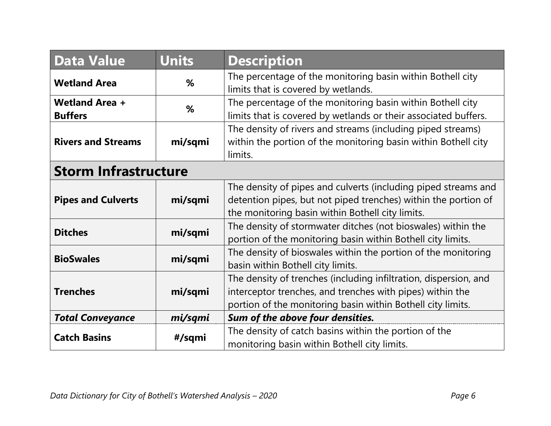| <b>Data Value</b>                       | Units   | <b>Description</b>                                                                                                                                                                           |
|-----------------------------------------|---------|----------------------------------------------------------------------------------------------------------------------------------------------------------------------------------------------|
| <b>Wetland Area</b>                     | %       | The percentage of the monitoring basin within Bothell city<br>limits that is covered by wetlands.                                                                                            |
| <b>Wetland Area +</b><br><b>Buffers</b> | %       | The percentage of the monitoring basin within Bothell city<br>limits that is covered by wetlands or their associated buffers.                                                                |
| <b>Rivers and Streams</b>               | mi/sqmi | The density of rivers and streams (including piped streams)<br>within the portion of the monitoring basin within Bothell city<br>limits.                                                     |
| <b>Storm Infrastructure</b>             |         |                                                                                                                                                                                              |
| <b>Pipes and Culverts</b>               | mi/sqmi | The density of pipes and culverts (including piped streams and<br>detention pipes, but not piped trenches) within the portion of<br>the monitoring basin within Bothell city limits.         |
| <b>Ditches</b>                          | mi/sqmi | The density of stormwater ditches (not bioswales) within the<br>portion of the monitoring basin within Bothell city limits.                                                                  |
| <b>BioSwales</b>                        | mi/sqmi | The density of bioswales within the portion of the monitoring<br>basin within Bothell city limits.                                                                                           |
| <b>Trenches</b>                         | mi/sqmi | The density of trenches (including infiltration, dispersion, and<br>interceptor trenches, and trenches with pipes) within the<br>portion of the monitoring basin within Bothell city limits. |
| <b>Total Conveyance</b>                 | mi/sqmi | Sum of the above four densities.                                                                                                                                                             |
| <b>Catch Basins</b>                     | #/sqmi  | The density of catch basins within the portion of the<br>monitoring basin within Bothell city limits.                                                                                        |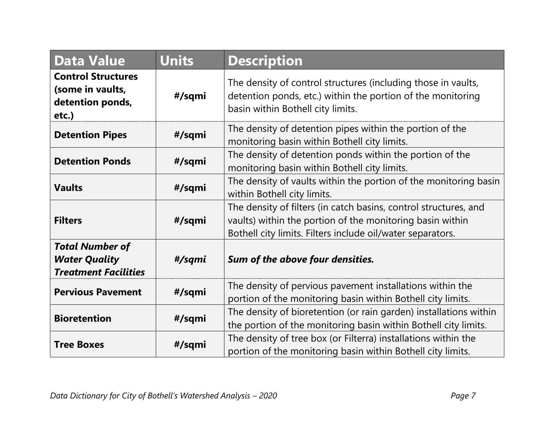| <b>Data Value</b>                                                             | <b>Units</b> | <b>Description</b>                                                                                                                                                                          |
|-------------------------------------------------------------------------------|--------------|---------------------------------------------------------------------------------------------------------------------------------------------------------------------------------------------|
| <b>Control Structures</b><br>(some in vaults,<br>detention ponds,<br>etc.)    | #/sqmi       | The density of control structures (including those in vaults,<br>detention ponds, etc.) within the portion of the monitoring<br>basin within Bothell city limits.                           |
| <b>Detention Pipes</b>                                                        | #/sqmi       | The density of detention pipes within the portion of the<br>monitoring basin within Bothell city limits.                                                                                    |
| <b>Detention Ponds</b>                                                        | #/sqmi       | The density of detention ponds within the portion of the<br>monitoring basin within Bothell city limits.                                                                                    |
| <b>Vaults</b>                                                                 | #/sqmi       | The density of vaults within the portion of the monitoring basin<br>within Bothell city limits.                                                                                             |
| <b>Filters</b>                                                                | #/sqmi       | The density of filters (in catch basins, control structures, and<br>vaults) within the portion of the monitoring basin within<br>Bothell city limits. Filters include oil/water separators. |
| <b>Total Number of</b><br><b>Water Quality</b><br><b>Treatment Facilities</b> | #/sqmi       | Sum of the above four densities.                                                                                                                                                            |
| <b>Pervious Pavement</b>                                                      | #/sqmi       | The density of pervious pavement installations within the<br>portion of the monitoring basin within Bothell city limits.                                                                    |
| <b>Bioretention</b>                                                           | #/sqmi       | The density of bioretention (or rain garden) installations within<br>the portion of the monitoring basin within Bothell city limits.                                                        |
| <b>Tree Boxes</b>                                                             | #/sqmi       | The density of tree box (or Filterra) installations within the<br>portion of the monitoring basin within Bothell city limits.                                                               |